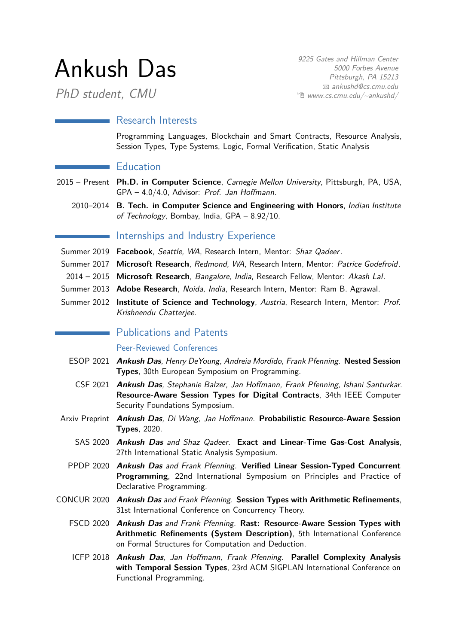# Ankush Das

PhD student, CMU

9225 Gates and Hillman Center 5000 Forbes Avenue Pittsburgh, PA 15213 B [ankushd@cs.cmu.edu](mailto:ankushd@cs.cmu.edu)  $\hat{E}$  [www.cs.cmu.edu/~ankushd/](http://www.cs.cmu.edu/~ankushd/)

## Research Interests

Programming Languages, Blockchain and Smart Contracts, Resource Analysis, Session Types, Type Systems, Logic, Formal Verification, Static Analysis

## **Education**

- 2015 Present **Ph.D. in Computer Science**, Carnegie Mellon University, Pittsburgh, PA, USA, GPA – 4.0/4.0, Advisor: [Prof. Jan Hoffmann](http://www.cs.cmu.edu/~janh/).
	- 2010–2014 **B. Tech. in Computer Science and Engineering with Honors**, Indian Institute of Technology, Bombay, India, GPA – 8.92/10.

# Internships and Industry Experience

- Summer 2019 **Facebook**, Seattle, WA, Research Intern, Mentor: [Shaz Qadeer](https://scholar.google.com/citations?user=EqIVfYcAAAAJ&hl=en).
- Summer 2017 **Microsoft Research**, Redmond, WA, Research Intern, Mentor: [Patrice Godefroid](https://patricegodefroid.github.io).
- 2014 2015 **Microsoft Research**, Bangalore, India, Research Fellow, Mentor: [Akash Lal](https://www.microsoft.com/en-us/research/people/akashl/).
- Summer 2013 **Adobe Research**, Noida, India, Research Intern, Mentor: Ram B. Agrawal.
- Summer 2012 **Institute of Science and Technology**, Austria, Research Intern, Mentor: [Prof.](http://pub.ist.ac.at/~kchatterjee/) [Krishnendu Chatterjee](http://pub.ist.ac.at/~kchatterjee/).

# **Publications and Patents**

#### Peer-Reviewed Conferences

- ESOP 2021 **Ankush Das**, Henry DeYoung, Andreia Mordido, Frank Pfenning. **Nested Session Types**, 30th European Symposium on Programming.
- CSF 2021 **Ankush Das**, Stephanie Balzer, Jan Hoffmann, Frank Pfenning, Ishani Santurkar. **Resource-Aware Session Types for Digital Contracts**, 34th IEEE Computer Security Foundations Symposium.
- Arxiv Preprint **Ankush Das**, Di Wang, Jan Hoffmann. **Probabilistic Resource-Aware Session Types**, 2020.
	- SAS 2020 **Ankush Das** and Shaz Qadeer. **Exact and Linear-Time Gas-Cost Analysis**, 27th International Static Analysis Symposium.
	- PPDP 2020 **Ankush Das** and Frank Pfenning. **Verified Linear Session-Typed Concurrent Programming**, 22nd International Symposium on Principles and Practice of Declarative Programming.
- CONCUR 2020 **Ankush Das** and Frank Pfenning. **Session Types with Arithmetic Refinements**, 31st International Conference on Concurrency Theory.
	- FSCD 2020 **Ankush Das** and Frank Pfenning. **Rast: Resource-Aware Session Types with Arithmetic Refinements (System Description)**, 5th International Conference on Formal Structures for Computation and Deduction.
	- ICFP 2018 **Ankush Das**, Jan Hoffmann, Frank Pfenning. **Parallel Complexity Analysis with Temporal Session Types**, 23rd ACM SIGPLAN International Conference on Functional Programming.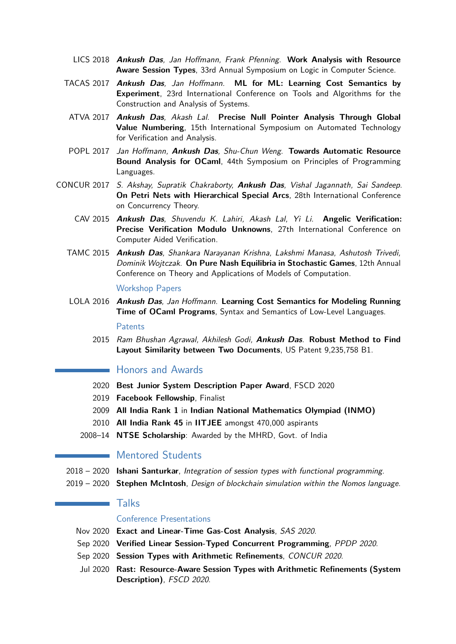- LICS 2018 **Ankush Das**, Jan Hoffmann, Frank Pfenning. **Work Analysis with Resource Aware Session Types**, 33rd Annual Symposium on Logic in Computer Science.
- TACAS 2017 **Ankush Das**, Jan Hoffmann. **ML for ML: Learning Cost Semantics by Experiment**, 23rd International Conference on Tools and Algorithms for the Construction and Analysis of Systems.
	- ATVA 2017 **Ankush Das**, Akash Lal. **Precise Null Pointer Analysis Through Global Value Numbering**, 15th International Symposium on Automated Technology for Verification and Analysis.
- POPL 2017 Jan Hoffmann, **Ankush Das**, Shu-Chun Weng. **Towards Automatic Resource Bound Analysis for OCaml**, 44th Symposium on Principles of Programming Languages.
- CONCUR 2017 S. Akshay, Supratik Chakraborty, **Ankush Das**, Vishal Jagannath, Sai Sandeep. **On Petri Nets with Hierarchical Special Arcs**, 28th International Conference on Concurrency Theory.
	- CAV 2015 **Ankush Das**, Shuvendu K. Lahiri, Akash Lal, Yi Li. **Angelic Verification: Precise Verification Modulo Unknowns**, 27th International Conference on Computer Aided Verification.
	- TAMC 2015 **Ankush Das**, Shankara Narayanan Krishna, Lakshmi Manasa, Ashutosh Trivedi, Dominik Wojtczak. **On Pure Nash Equilibria in Stochastic Games**, 12th Annual Conference on Theory and Applications of Models of Computation.

Workshop Papers

LOLA 2016 **Ankush Das**, Jan Hoffmann. **Learning Cost Semantics for Modeling Running Time of OCaml Programs**, Syntax and Semantics of Low-Level Languages.

**Patents** 

2015 Ram Bhushan Agrawal, Akhilesh Godi, **Ankush Das**. **Robust Method to Find Layout Similarity between Two Documents**, US Patent 9,235,758 B1.

#### Honors and Awards

- 2020 **Best Junior System Description Paper Award**, FSCD 2020
- 2019 **Facebook Fellowship**, Finalist
- 2009 **All India Rank 1** in **[Indian National Mathematics Olympiad \(INMO\)](http://en.wikipedia.org/wiki/Indian_National_Mathematical_Olympiad)**
- 2010 **All India Rank 45** in **[IITJEE](http://en.wikipedia.org/wiki/Indian_Institute_of_Technology_Joint_Entrance_Examination)** amongst 470,000 aspirants
- 2008–14 **[NTSE Scholarship](http://en.wikipedia.org/wiki/National_Talent_Search_Examination)**: Awarded by the MHRD, Govt. of India

## **Mentored Students**

- 2018 2020 **Ishani Santurkar**, Integration of session types with functional programming.
- 2019 2020 **Stephen McIntosh**, Design of blockchain simulation within the Nomos language.

#### Talks

 $\sim 10$ 

#### Conference Presentations

- Nov 2020 **Exact and Linear-Time Gas-Cost Analysis**, SAS 2020.
- Sep 2020 **Verified Linear Session-Typed Concurrent Programming**, PPDP 2020.
- Sep 2020 **Session Types with Arithmetic Refinements**, CONCUR 2020.
- Jul 2020 **Rast: Resource-Aware Session Types with Arithmetic Refinements (System Description)**, FSCD 2020.